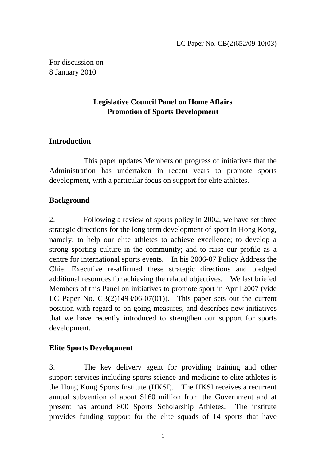For discussion on 8 January 2010

# **Legislative Council Panel on Home Affairs Promotion of Sports Development**

## **Introduction**

 This paper updates Members on progress of initiatives that the Administration has undertaken in recent years to promote sports development, with a particular focus on support for elite athletes.

## **Background**

2. Following a review of sports policy in 2002, we have set three strategic directions for the long term development of sport in Hong Kong, namely: to help our elite athletes to achieve excellence; to develop a strong sporting culture in the community; and to raise our profile as a centre for international sports events. In his 2006-07 Policy Address the Chief Executive re-affirmed these strategic directions and pledged additional resources for achieving the related objectives. We last briefed Members of this Panel on initiatives to promote sport in April 2007 (vide LC Paper No.  $CB(2)1493/06-07(01)$ . This paper sets out the current position with regard to on-going measures, and describes new initiatives that we have recently introduced to strengthen our support for sports development.

## **Elite Sports Development**

3. The key delivery agent for providing training and other support services including sports science and medicine to elite athletes is the Hong Kong Sports Institute (HKSI). The HKSI receives a recurrent annual subvention of about \$160 million from the Government and at present has around 800 Sports Scholarship Athletes. The institute provides funding support for the elite squads of 14 sports that have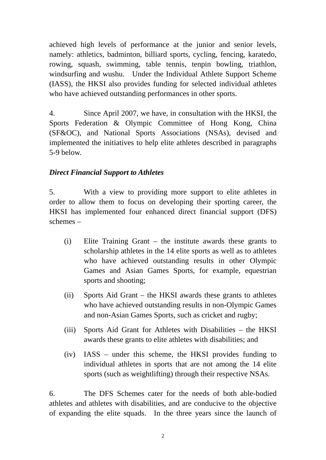achieved high levels of performance at the junior and senior levels, namely: athletics, badminton, billiard sports, cycling, fencing, karatedo, rowing, squash, swimming, table tennis, tenpin bowling, triathlon, windsurfing and wushu. Under the Individual Athlete Support Scheme (IASS), the HKSI also provides funding for selected individual athletes who have achieved outstanding performances in other sports.

4. Since April 2007, we have, in consultation with the HKSI, the Sports Federation & Olympic Committee of Hong Kong, China (SF&OC), and National Sports Associations (NSAs), devised and implemented the initiatives to help elite athletes described in paragraphs 5-9 below.

## *Direct Financial Support to Athletes*

5. With a view to providing more support to elite athletes in order to allow them to focus on developing their sporting career, the HKSI has implemented four enhanced direct financial support (DFS) schemes –

- (i) Elite Training Grant the institute awards these grants to scholarship athletes in the 14 elite sports as well as to athletes who have achieved outstanding results in other Olympic Games and Asian Games Sports, for example, equestrian sports and shooting;
- (ii) Sports Aid Grant the HKSI awards these grants to athletes who have achieved outstanding results in non-Olympic Games and non-Asian Games Sports, such as cricket and rugby;
- (iii) Sports Aid Grant for Athletes with Disabilities the HKSI awards these grants to elite athletes with disabilities; and
- (iv) IASS under this scheme, the HKSI provides funding to individual athletes in sports that are not among the 14 elite sports (such as weightlifting) through their respective NSAs.

6. The DFS Schemes cater for the needs of both able-bodied athletes and athletes with disabilities, and are conducive to the objective of expanding the elite squads. In the three years since the launch of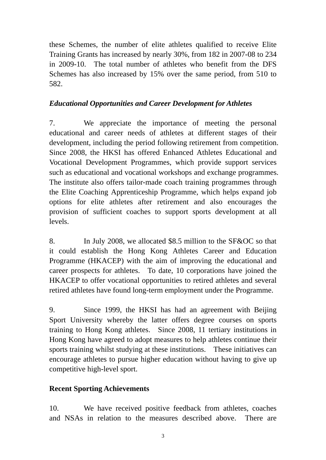these Schemes, the number of elite athletes qualified to receive Elite Training Grants has increased by nearly 30%, from 182 in 2007-08 to 234 in 2009-10. The total number of athletes who benefit from the DFS Schemes has also increased by 15% over the same period, from 510 to 582.

### *Educational Opportunities and Career Development for Athletes*

7. We appreciate the importance of meeting the personal educational and career needs of athletes at different stages of their development, including the period following retirement from competition. Since 2008, the HKSI has offered Enhanced Athletes Educational and Vocational Development Programmes, which provide support services such as educational and vocational workshops and exchange programmes. The institute also offers tailor-made coach training programmes through the Elite Coaching Apprenticeship Programme, which helps expand job options for elite athletes after retirement and also encourages the provision of sufficient coaches to support sports development at all levels.

8. In July 2008, we allocated \$8.5 million to the SF&OC so that it could establish the Hong Kong Athletes Career and Education Programme (HKACEP) with the aim of improving the educational and career prospects for athletes. To date, 10 corporations have joined the HKACEP to offer vocational opportunities to retired athletes and several retired athletes have found long-term employment under the Programme.

9. Since 1999, the HKSI has had an agreement with Beijing Sport University whereby the latter offers degree courses on sports training to Hong Kong athletes. Since 2008, 11 tertiary institutions in Hong Kong have agreed to adopt measures to help athletes continue their sports training whilst studying at these institutions. These initiatives can encourage athletes to pursue higher education without having to give up competitive high-level sport.

## **Recent Sporting Achievements**

10. We have received positive feedback from athletes, coaches and NSAs in relation to the measures described above. There are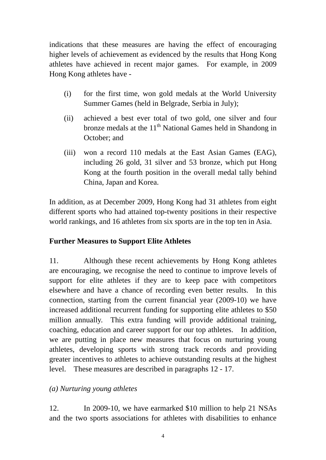indications that these measures are having the effect of encouraging higher levels of achievement as evidenced by the results that Hong Kong athletes have achieved in recent major games. For example, in 2009 Hong Kong athletes have -

- (i) for the first time, won gold medals at the World University Summer Games (held in Belgrade, Serbia in July);
- (ii) achieved a best ever total of two gold, one silver and four bronze medals at the  $11<sup>th</sup>$  National Games held in Shandong in October; and
- (iii) won a record 110 medals at the East Asian Games (EAG), including 26 gold, 31 silver and 53 bronze, which put Hong Kong at the fourth position in the overall medal tally behind China, Japan and Korea.

In addition, as at December 2009, Hong Kong had 31 athletes from eight different sports who had attained top-twenty positions in their respective world rankings, and 16 athletes from six sports are in the top ten in Asia.

#### **Further Measures to Support Elite Athletes**

11. Although these recent achievements by Hong Kong athletes are encouraging, we recognise the need to continue to improve levels of support for elite athletes if they are to keep pace with competitors elsewhere and have a chance of recording even better results. In this connection, starting from the current financial year (2009-10) we have increased additional recurrent funding for supporting elite athletes to \$50 million annually. This extra funding will provide additional training, coaching, education and career support for our top athletes. In addition, we are putting in place new measures that focus on nurturing young athletes, developing sports with strong track records and providing greater incentives to athletes to achieve outstanding results at the highest level. These measures are described in paragraphs 12 - 17.

#### *(a) Nurturing young athletes*

12. In 2009-10, we have earmarked \$10 million to help 21 NSAs and the two sports associations for athletes with disabilities to enhance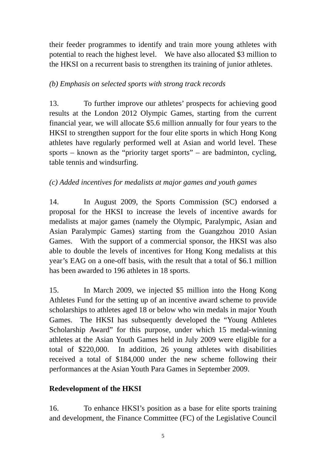their feeder programmes to identify and train more young athletes with potential to reach the highest level. We have also allocated \$3 million to the HKSI on a recurrent basis to strengthen its training of junior athletes.

### *(b) Emphasis on selected sports with strong track records*

13. To further improve our athletes' prospects for achieving good results at the London 2012 Olympic Games, starting from the current financial year, we will allocate \$5.6 million annually for four years to the HKSI to strengthen support for the four elite sports in which Hong Kong athletes have regularly performed well at Asian and world level. These sports – known as the "priority target sports" – are badminton, cycling, table tennis and windsurfing.

## *(c) Added incentives for medalists at major games and youth games*

14. In August 2009, the Sports Commission (SC) endorsed a proposal for the HKSI to increase the levels of incentive awards for medalists at major games (namely the Olympic, Paralympic, Asian and Asian Paralympic Games) starting from the Guangzhou 2010 Asian Games. With the support of a commercial sponsor, the HKSI was also able to double the levels of incentives for Hong Kong medalists at this year's EAG on a one-off basis, with the result that a total of \$6.1 million has been awarded to 196 athletes in 18 sports.

15. In March 2009, we injected \$5 million into the Hong Kong Athletes Fund for the setting up of an incentive award scheme to provide scholarships to athletes aged 18 or below who win medals in major Youth Games. The HKSI has subsequently developed the "Young Athletes Scholarship Award" for this purpose, under which 15 medal-winning athletes at the Asian Youth Games held in July 2009 were eligible for a total of \$220,000. In addition, 26 young athletes with disabilities received a total of \$184,000 under the new scheme following their performances at the Asian Youth Para Games in September 2009.

## **Redevelopment of the HKSI**

16. To enhance HKSI's position as a base for elite sports training and development, the Finance Committee (FC) of the Legislative Council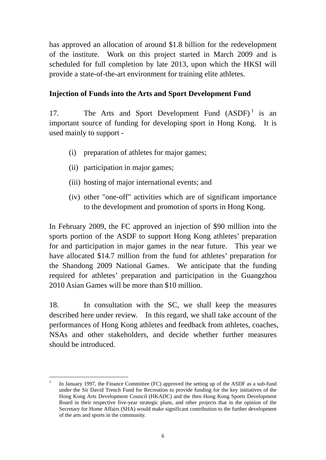has approved an allocation of around \$1.8 billion for the redevelopment of the institute. Work on this project started in March 2009 and is scheduled for full completion by late 2013, upon which the HKSI will provide a state-of-the-art environment for training elite athletes.

### **Injection of Funds into the Arts and Sport Development Fund**

17. The Arts and Sport Development Fund  $(ASDF)^1$  is an important source of funding for developing sport in Hong Kong. It is used mainly to support -

- (i) preparation of athletes for major games;
- (ii) participation in major games;
- (iii) hosting of major international events; and
- (iv) other "one-off" activities which are of significant importance to the development and promotion of sports in Hong Kong.

In February 2009, the FC approved an injection of \$90 million into the sports portion of the ASDF to support Hong Kong athletes' preparation for and participation in major games in the near future. This year we have allocated \$14.7 million from the fund for athletes' preparation for the Shandong 2009 National Games. We anticipate that the funding required for athletes' preparation and participation in the Guangzhou 2010 Asian Games will be more than \$10 million.

18. In consultation with the SC, we shall keep the measures described here under review. In this regard, we shall take account of the performances of Hong Kong athletes and feedback from athletes, coaches, NSAs and other stakeholders, and decide whether further measures should be introduced.

 $\overline{a}$ 1 In January 1997, the Finance Committee (FC) approved the setting up of the ASDF as a sub-fund under the Sir David Trench Fund for Recreation to provide funding for the key initiatives of the Hong Kong Arts Development Council (HKADC) and the then Hong Kong Sports Development Board in their respective five-year strategic plans, and other projects that in the opinion of the Secretary for Home Affairs (SHA) would make significant contribution to the further development of the arts and sports in the community.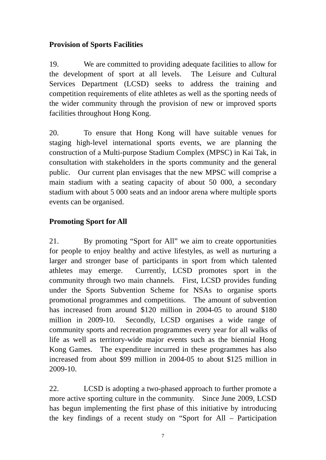# **Provision of Sports Facilities**

19. We are committed to providing adequate facilities to allow for the development of sport at all levels. The Leisure and Cultural Services Department (LCSD) seeks to address the training and competition requirements of elite athletes as well as the sporting needs of the wider community through the provision of new or improved sports facilities throughout Hong Kong.

20. To ensure that Hong Kong will have suitable venues for staging high-level international sports events, we are planning the construction of a Multi-purpose Stadium Complex (MPSC) in Kai Tak, in consultation with stakeholders in the sports community and the general public. Our current plan envisages that the new MPSC will comprise a main stadium with a seating capacity of about 50 000, a secondary stadium with about 5 000 seats and an indoor arena where multiple sports events can be organised.

# **Promoting Sport for All**

21. By promoting "Sport for All" we aim to create opportunities for people to enjoy healthy and active lifestyles, as well as nurturing a larger and stronger base of participants in sport from which talented athletes may emerge. Currently, LCSD promotes sport in the community through two main channels. First, LCSD provides funding under the Sports Subvention Scheme for NSAs to organise sports promotional programmes and competitions. The amount of subvention has increased from around \$120 million in 2004-05 to around \$180 million in 2009-10. Secondly, LCSD organises a wide range of community sports and recreation programmes every year for all walks of life as well as territory-wide major events such as the biennial Hong Kong Games. The expenditure incurred in these programmes has also increased from about \$99 million in 2004-05 to about \$125 million in 2009-10.

22. LCSD is adopting a two-phased approach to further promote a more active sporting culture in the community. Since June 2009, LCSD has begun implementing the first phase of this initiative by introducing the key findings of a recent study on "Sport for All – Participation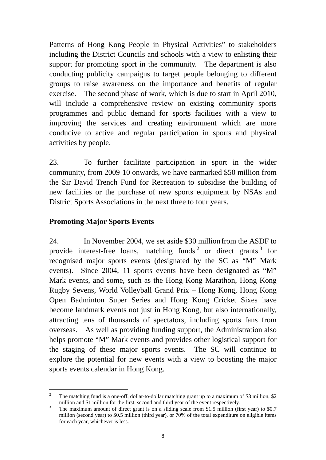Patterns of Hong Kong People in Physical Activities" to stakeholders including the District Councils and schools with a view to enlisting their support for promoting sport in the community. The department is also conducting publicity campaigns to target people belonging to different groups to raise awareness on the importance and benefits of regular exercise. The second phase of work, which is due to start in April 2010, will include a comprehensive review on existing community sports programmes and public demand for sports facilities with a view to improving the services and creating environment which are more conducive to active and regular participation in sports and physical activities by people.

23. To further facilitate participation in sport in the wider community, from 2009-10 onwards, we have earmarked \$50 million from the Sir David Trench Fund for Recreation to subsidise the building of new facilities or the purchase of new sports equipment by NSAs and District Sports Associations in the next three to four years.

## **Promoting Major Sports Events**

24. In November 2004, we set aside \$30 million from the ASDF to provide interest-free loans, matching funds  $2$  or direct grants  $3$  for recognised major sports events (designated by the SC as "M" Mark events). Since 2004, 11 sports events have been designated as "M" Mark events, and some, such as the Hong Kong Marathon, Hong Kong Rugby Sevens, World Volleyball Grand Prix – Hong Kong, Hong Kong Open Badminton Super Series and Hong Kong Cricket Sixes have become landmark events not just in Hong Kong, but also internationally, attracting tens of thousands of spectators, including sports fans from overseas. As well as providing funding support, the Administration also helps promote "M" Mark events and provides other logistical support for the staging of these major sports events. The SC will continue to explore the potential for new events with a view to boosting the major sports events calendar in Hong Kong.

 $\frac{1}{2}$  The matching fund is a one-off, dollar-to-dollar matching grant up to a maximum of \$3 million, \$2 million and  $\overline{\$}1$  million for the first, second and third year of the event respectively.<br><sup>3</sup> The maximum amount of direct grapt is on a sliding scale from  $\$15$  million (fi

The maximum amount of direct grant is on a sliding scale from \$1.5 million (first year) to \$0.7 million (second year) to \$0.5 million (third year), or 70% of the total expenditure on eligible items for each year, whichever is less.